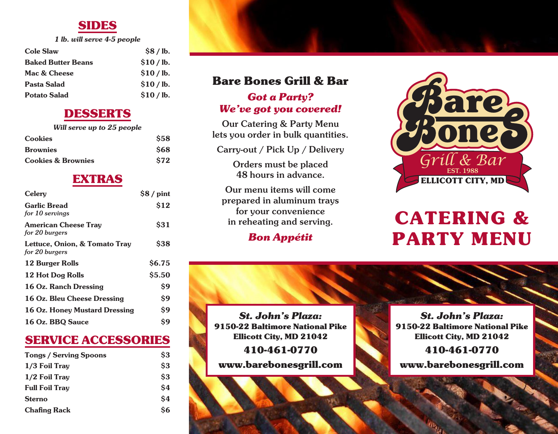# **SIDES**

*1 lb. will serve 4-5 people*

| <b>Cole Slaw</b>          | \$8/lb.  |
|---------------------------|----------|
| <b>Baked Butter Beans</b> | \$10/lb. |
| Mac & Cheese              | \$10/lb. |
| Pasta Salad               | \$10/lb. |
| <b>Potato Salad</b>       | \$10/lb. |

### **DESSERTS**

| Will serve up to 25 people    |            |  |
|-------------------------------|------------|--|
| <b>Cookies</b>                | \$58       |  |
| <b>Brownies</b>               | \$68       |  |
| <b>Cookies &amp; Brownies</b> | <b>S72</b> |  |

#### **EXTRAS**

| Celery                                          | $$8/$ pint   |
|-------------------------------------------------|--------------|
| <b>Garlic Bread</b><br>for 10 servings          | \$12         |
| <b>American Cheese Tray</b><br>for 20 burgers   | <b>S31</b>   |
| Lettuce, Onion, & Tomato Tray<br>for 20 burgers | <b>\$38</b>  |
| <b>12 Burger Rolls</b>                          | <b>S6.75</b> |
| 12 Hot Dog Rolls                                | \$5.50       |
| 16 Oz. Ranch Dressing                           | \$9          |
| 16 Oz. Bleu Cheese Dressing                     | \$9          |
| 16 Oz. Honey Mustard Dressing                   | \$9          |
| 16 Oz. BBQ Sauce                                | S9           |

## **SERVICE ACCESSORIES**

| <b>Tongs / Serving Spoons</b> | \$3        |
|-------------------------------|------------|
| 1/3 Foil Tray                 | $\dot{S}3$ |
| 1/2 Foil Tray                 | $\dot{S}3$ |
| <b>Full Foil Tray</b>         | $\dot{S}4$ |
| <b>Sterno</b>                 | $\dot{S}4$ |
| <b>Chafing Rack</b>           | Ś6         |

# **Bare Bones Grill & Bar**

#### *Got a Party? We've got you covered!*

Our Catering & Party Menu lets you order in bulk quantities.

Carry-out / Pick Up / Delivery

Orders must be placed 48 hours in advance.

Our menu items will come prepared in aluminum trays for your convenience in reheating and serving.

#### *Bon Appétit*



# **CATERING & PARTY MENU**

*St. John's Plaza:* **9150-22 Baltimore National Pike Ellicott City, MD 21042**

**410-461-0770**

**www.barebonesgrill.com**

*St. John's Plaza:* **9150-22 Baltimore National Pike Ellicott City, MD 21042 410-461-0770**

**www.barebonesgrill.com**